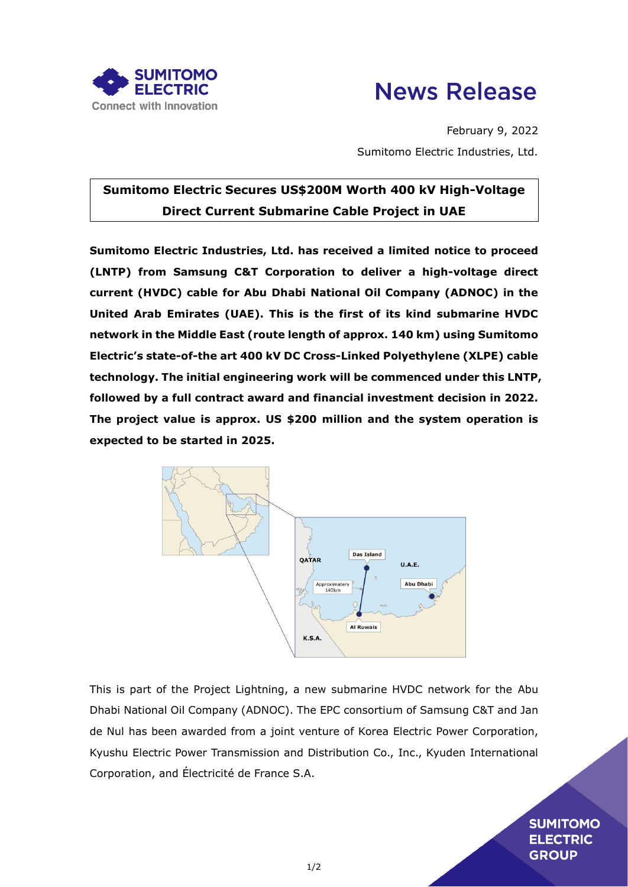



February 9, 2022 Sumitomo Electric Industries, Ltd.

## **Sumitomo Electric Secures US\$200M Worth 400 kV High-Voltage Direct Current Submarine Cable Project in UAE**

**Sumitomo Electric Industries, Ltd. has received a limited notice to proceed (LNTP) from Samsung C&T Corporation to deliver a high-voltage direct current (HVDC) cable for Abu Dhabi National Oil Company (ADNOC) in the United Arab Emirates (UAE). This is the first of its kind submarine HVDC network in the Middle East (route length of approx. 140 km) using Sumitomo Electric's state-of-the art 400 kV DC Cross-Linked Polyethylene (XLPE) cable technology. The initial engineering work will be commenced under this LNTP, followed by a full contract award and financial investment decision in 2022. The project value is approx. US \$200 million and the system operation is expected to be started in 2025.** 



This is part of the Project Lightning, a new submarine HVDC network for the Abu Dhabi National Oil Company (ADNOC). The EPC consortium of Samsung C&T and Jan de Nul has been awarded from a joint venture of Korea Electric Power Corporation, Kyushu Electric Power Transmission and Distribution Co., Inc., Kyuden International Corporation, and Électricité de France S.A.

> **SUMITOMO ELECTRIC GROUP**